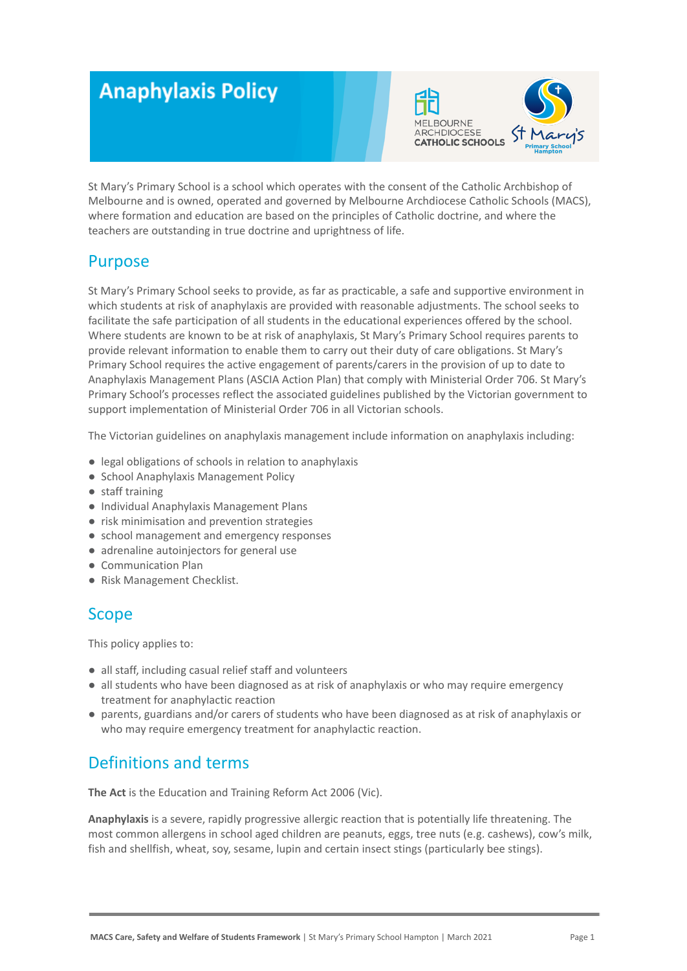# **Anaphylaxis Policy**



St Mary's Primary School is a school which operates with the consent of the Catholic Archbishop of Melbourne and is owned, operated and governed by Melbourne Archdiocese Catholic Schools (MACS), where formation and education are based on the principles of Catholic doctrine, and where the teachers are outstanding in true doctrine and uprightness of life.

## Purpose

St Mary's Primary School seeks to provide, as far as practicable, a safe and supportive environment in which students at risk of anaphylaxis are provided with reasonable adjustments. The school seeks to facilitate the safe participation of all students in the educational experiences offered by the school. Where students are known to be at risk of anaphylaxis, St Mary's Primary School requires parents to provide relevant information to enable them to carry out their duty of care obligations. St Mary's Primary School requires the active engagement of parents/carers in the provision of up to date to Anaphylaxis Management Plans (ASCIA Action Plan) that comply with Ministerial Order 706. St Mary's Primary School's processes reflect the associated guidelines published by the Victorian government to support implementation of Ministerial Order 706 in all Victorian schools.

The Victorian guidelines on anaphylaxis management include information on anaphylaxis including:

- legal obligations of schools in relation to anaphylaxis
- School Anaphylaxis Management Policy
- staff training
- Individual Anaphylaxis Management Plans
- risk minimisation and prevention strategies
- school management and emergency responses
- adrenaline autoinjectors for general use
- Communication Plan
- Risk Management Checklist.

## Scope

This policy applies to:

- all staff, including casual relief staff and volunteers
- all students who have been diagnosed as at risk of anaphylaxis or who may require emergency treatment for anaphylactic reaction
- parents, guardians and/or carers of students who have been diagnosed as at risk of anaphylaxis or who may require emergency treatment for anaphylactic reaction.

# Definitions and terms

**The Act** is the Education and Training Reform Act 2006 (Vic).

**Anaphylaxis** is a severe, rapidly progressive allergic reaction that is potentially life threatening. The most common allergens in school aged children are peanuts, eggs, tree nuts (e.g. cashews), cow's milk, fish and shellfish, wheat, soy, sesame, lupin and certain insect stings (particularly bee stings).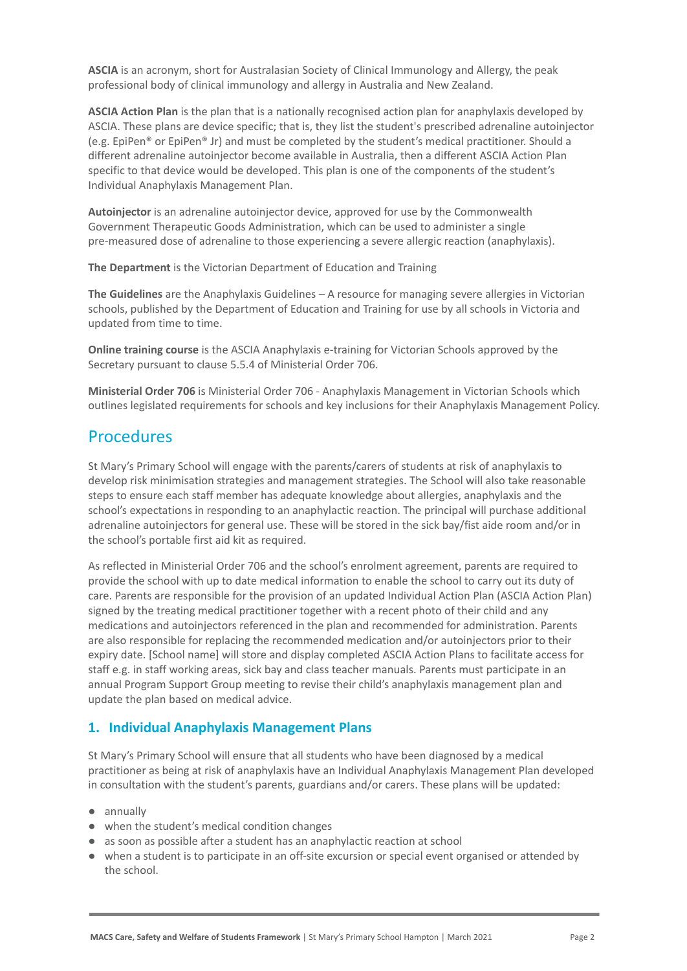**ASCIA** is an acronym, short for Australasian Society of Clinical Immunology and Allergy, the peak professional body of clinical immunology and allergy in Australia and New Zealand.

**ASCIA Action Plan** is the plan that is a nationally recognised action plan for anaphylaxis developed by ASCIA. These plans are device specific; that is, they list the student's prescribed adrenaline autoinjector (e.g. EpiPen® or EpiPen® Jr) and must be completed by the student's medical practitioner. Should a different adrenaline autoinjector become available in Australia, then a different ASCIA Action Plan specific to that device would be developed. This plan is one of the components of the student's Individual Anaphylaxis Management Plan.

**Autoinjector** is an adrenaline autoinjector device, approved for use by the Commonwealth Government Therapeutic Goods Administration, which can be used to administer a single pre-measured dose of adrenaline to those experiencing a severe allergic reaction (anaphylaxis).

**The Department** is the Victorian Department of Education and Training

**The Guidelines** are the Anaphylaxis Guidelines – A resource for managing severe allergies in Victorian schools, published by the Department of Education and Training for use by all schools in Victoria and updated from time to time.

**Online training course** is the ASCIA Anaphylaxis e-training for Victorian Schools approved by the Secretary pursuant to clause 5.5.4 of Ministerial Order 706.

**Ministerial Order 706** is Ministerial Order 706 - Anaphylaxis Management in Victorian Schools which outlines legislated requirements for schools and key inclusions for their Anaphylaxis Management Policy.

## **Procedures**

St Mary's Primary School will engage with the parents/carers of students at risk of anaphylaxis to develop risk minimisation strategies and management strategies. The School will also take reasonable steps to ensure each staff member has adequate knowledge about allergies, anaphylaxis and the school's expectations in responding to an anaphylactic reaction. The principal will purchase additional adrenaline autoinjectors for general use. These will be stored in the sick bay/fist aide room and/or in the school's portable first aid kit as required.

As reflected in Ministerial Order 706 and the school's enrolment agreement, parents are required to provide the school with up to date medical information to enable the school to carry out its duty of care. Parents are responsible for the provision of an updated Individual Action Plan (ASCIA Action Plan) signed by the treating medical practitioner together with a recent photo of their child and any medications and autoinjectors referenced in the plan and recommended for administration. Parents are also responsible for replacing the recommended medication and/or autoinjectors prior to their expiry date. [School name] will store and display completed ASCIA Action Plans to facilitate access for staff e.g. in staff working areas, sick bay and class teacher manuals. Parents must participate in an annual Program Support Group meeting to revise their child's anaphylaxis management plan and update the plan based on medical advice.

## **1. Individual Anaphylaxis Management Plans**

St Mary's Primary School will ensure that all students who have been diagnosed by a medical practitioner as being at risk of anaphylaxis have an Individual Anaphylaxis Management Plan developed in consultation with the student's parents, guardians and/or carers. These plans will be updated:

- annually
- when the student's medical condition changes
- as soon as possible after a student has an anaphylactic reaction at school
- when a student is to participate in an off-site excursion or special event organised or attended by the school.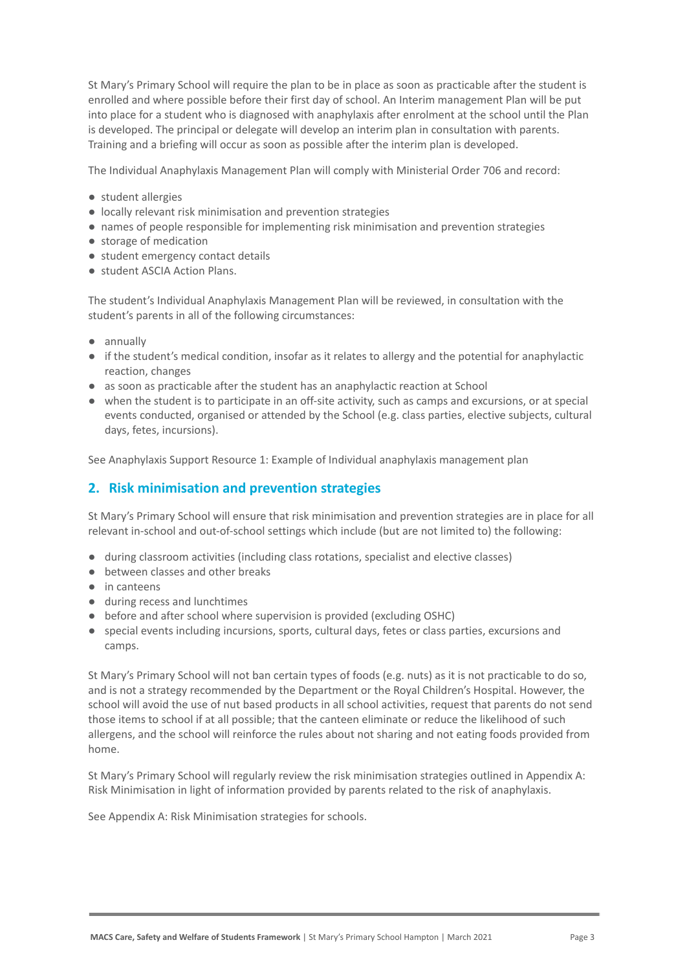St Mary's Primary School will require the plan to be in place as soon as practicable after the student is enrolled and where possible before their first day of school. An Interim management Plan will be put into place for a student who is diagnosed with anaphylaxis after enrolment at the school until the Plan is developed. The principal or delegate will develop an interim plan in consultation with parents. Training and a briefing will occur as soon as possible after the interim plan is developed.

The Individual Anaphylaxis Management Plan will comply with Ministerial Order 706 and record:

- student allergies
- locally relevant risk minimisation and prevention strategies
- names of people responsible for implementing risk minimisation and prevention strategies
- storage of medication
- student emergency contact details
- student ASCIA Action Plans.

The student's Individual Anaphylaxis Management Plan will be reviewed, in consultation with the student's parents in all of the following circumstances:

- annually
- if the student's medical condition, insofar as it relates to allergy and the potential for anaphylactic reaction, changes
- as soon as practicable after the student has an anaphylactic reaction at School
- when the student is to participate in an off-site activity, such as camps and excursions, or at special events conducted, organised or attended by the School (e.g. class parties, elective subjects, cultural days, fetes, incursions).

See Anaphylaxis Support Resource 1: Example of Individual anaphylaxis management plan

### **2. Risk minimisation and prevention strategies**

St Mary's Primary School will ensure that risk minimisation and prevention strategies are in place for all relevant in-school and out-of-school settings which include (but are not limited to) the following:

- during classroom activities (including class rotations, specialist and elective classes)
- between classes and other breaks
- in canteens
- during recess and lunchtimes
- before and after school where supervision is provided (excluding OSHC)
- special events including incursions, sports, cultural days, fetes or class parties, excursions and camps.

St Mary's Primary School will not ban certain types of foods (e.g. nuts) as it is not practicable to do so, and is not a strategy recommended by the Department or the Royal Children's Hospital. However, the school will avoid the use of nut based products in all school activities, request that parents do not send those items to school if at all possible; that the canteen eliminate or reduce the likelihood of such allergens, and the school will reinforce the rules about not sharing and not eating foods provided from home.

St Mary's Primary School will regularly review the risk minimisation strategies outlined in Appendix A: Risk Minimisation in light of information provided by parents related to the risk of anaphylaxis.

See Appendix A: Risk Minimisation strategies for schools.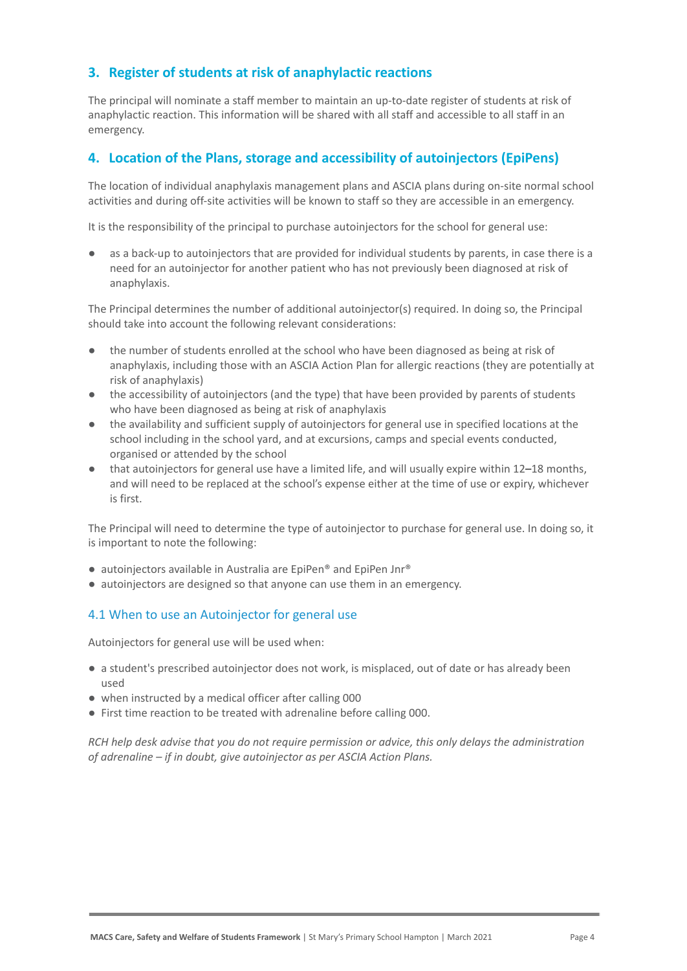## **3. Register of students at risk of anaphylactic reactions**

The principal will nominate a staff member to maintain an up-to-date register of students at risk of anaphylactic reaction. This information will be shared with all staff and accessible to all staff in an emergency.

### **4. Location of the Plans, storage and accessibility of autoinjectors (EpiPens)**

The location of individual anaphylaxis management plans and ASCIA plans during on-site normal school activities and during off-site activities will be known to staff so they are accessible in an emergency.

It is the responsibility of the principal to purchase autoinjectors for the school for general use:

as a back-up to autoinjectors that are provided for individual students by parents, in case there is a need for an autoinjector for another patient who has not previously been diagnosed at risk of anaphylaxis.

The Principal determines the number of additional autoinjector(s) required. In doing so, the Principal should take into account the following relevant considerations:

- the number of students enrolled at the school who have been diagnosed as being at risk of anaphylaxis, including those with an ASCIA Action Plan for allergic reactions (they are potentially at risk of anaphylaxis)
- the accessibility of autoinjectors (and the type) that have been provided by parents of students who have been diagnosed as being at risk of anaphylaxis
- the availability and sufficient supply of autoinjectors for general use in specified locations at the school including in the school yard, and at excursions, camps and special events conducted, organised or attended by the school
- that autoinjectors for general use have a limited life, and will usually expire within 12–18 months, and will need to be replaced at the school's expense either at the time of use or expiry, whichever is first.

The Principal will need to determine the type of autoinjector to purchase for general use. In doing so, it is important to note the following:

- autoinjectors available in Australia are EpiPen® and EpiPen Jnr®
- autoinjectors are designed so that anyone can use them in an emergency.

#### 4.1 When to use an Autoinjector for general use

Autoinjectors for general use will be used when:

- a student's prescribed autoinjector does not work, is misplaced, out of date or has already been used
- when instructed by a medical officer after calling 000
- First time reaction to be treated with adrenaline before calling 000.

*RCH help desk advise that you do not require permission or advice, this only delays the administration of adrenaline – if in doubt, give autoinjector as per ASCIA Action Plans.*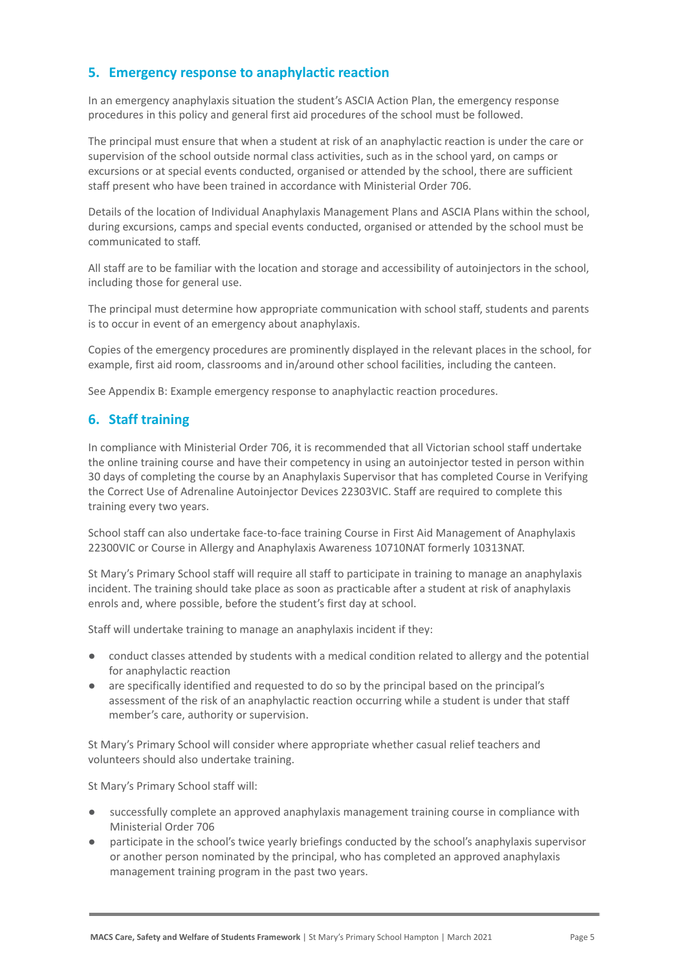## **5. Emergency response to anaphylactic reaction**

In an emergency anaphylaxis situation the student's ASCIA Action Plan, the emergency response procedures in this policy and general first aid procedures of the school must be followed.

The principal must ensure that when a student at risk of an anaphylactic reaction is under the care or supervision of the school outside normal class activities, such as in the school yard, on camps or excursions or at special events conducted, organised or attended by the school, there are sufficient staff present who have been trained in accordance with Ministerial Order 706.

Details of the location of Individual Anaphylaxis Management Plans and ASCIA Plans within the school, during excursions, camps and special events conducted, organised or attended by the school must be communicated to staff.

All staff are to be familiar with the location and storage and accessibility of autoinjectors in the school, including those for general use.

The principal must determine how appropriate communication with school staff, students and parents is to occur in event of an emergency about anaphylaxis.

Copies of the emergency procedures are prominently displayed in the relevant places in the school, for example, first aid room, classrooms and in/around other school facilities, including the canteen.

See Appendix B: Example emergency response to anaphylactic reaction procedures.

### **6. Staff training**

In compliance with Ministerial Order 706, it is recommended that all Victorian school staff undertake the online training course and have their competency in using an autoinjector tested in person within 30 days of completing the course by an Anaphylaxis Supervisor that has completed Course in Verifying the Correct Use of Adrenaline Autoinjector Devices 22303VIC. Staff are required to complete this training every two years.

School staff can also undertake face-to-face training Course in First Aid Management of Anaphylaxis 22300VIC or Course in Allergy and Anaphylaxis Awareness 10710NAT formerly 10313NAT.

St Mary's Primary School staff will require all staff to participate in training to manage an anaphylaxis incident. The training should take place as soon as practicable after a student at risk of anaphylaxis enrols and, where possible, before the student's first day at school.

Staff will undertake training to manage an anaphylaxis incident if they:

- conduct classes attended by students with a medical condition related to allergy and the potential for anaphylactic reaction
- are specifically identified and requested to do so by the principal based on the principal's assessment of the risk of an anaphylactic reaction occurring while a student is under that staff member's care, authority or supervision.

St Mary's Primary School will consider where appropriate whether casual relief teachers and volunteers should also undertake training.

St Mary's Primary School staff will:

- successfully complete an approved anaphylaxis management training course in compliance with Ministerial Order 706
- participate in the school's twice yearly briefings conducted by the school's anaphylaxis supervisor or another person nominated by the principal, who has completed an approved anaphylaxis management training program in the past two years.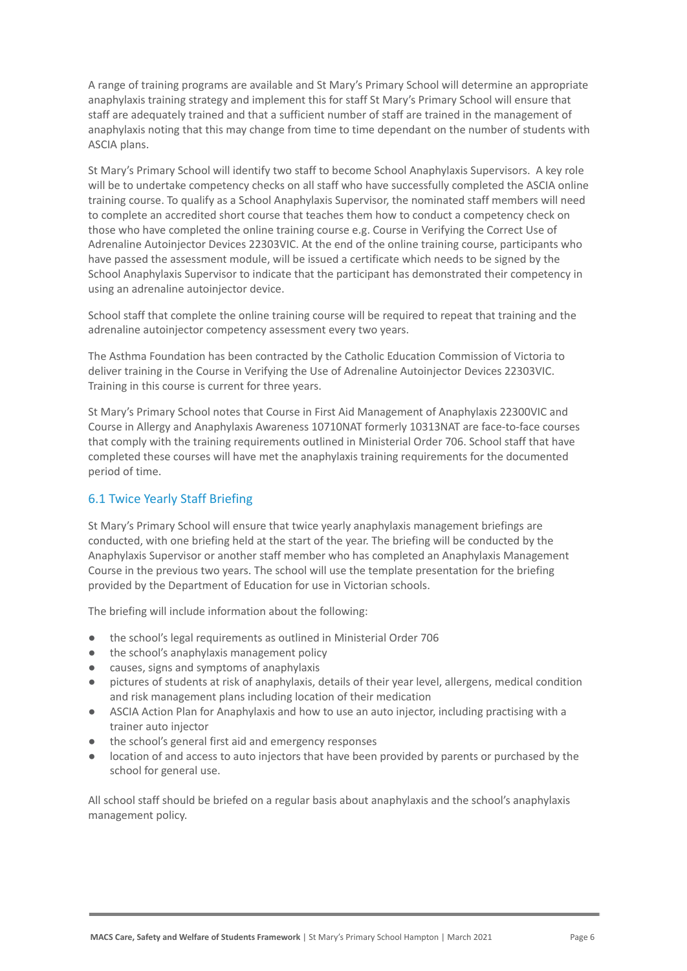A range of training programs are available and St Mary's Primary School will determine an appropriate anaphylaxis training strategy and implement this for staff St Mary's Primary School will ensure that staff are adequately trained and that a sufficient number of staff are trained in the management of anaphylaxis noting that this may change from time to time dependant on the number of students with ASCIA plans.

St Mary's Primary School will identify two staff to become School Anaphylaxis Supervisors. A key role will be to undertake competency checks on all staff who have successfully completed the ASCIA online training course. To qualify as a School Anaphylaxis Supervisor, the nominated staff members will need to complete an accredited short course that teaches them how to conduct a competency check on those who have completed the online training course e.g. Course in Verifying the Correct Use of Adrenaline Autoinjector Devices 22303VIC. At the end of the online training course, participants who have passed the assessment module, will be issued a certificate which needs to be signed by the School Anaphylaxis Supervisor to indicate that the participant has demonstrated their competency in using an adrenaline autoinjector device.

School staff that complete the online training course will be required to repeat that training and the adrenaline autoinjector competency assessment every two years.

The Asthma Foundation has been contracted by the Catholic Education Commission of Victoria to deliver training in the Course in Verifying the Use of Adrenaline Autoinjector Devices 22303VIC. Training in this course is current for three years.

St Mary's Primary School notes that Course in First Aid Management of Anaphylaxis 22300VIC and Course in Allergy and Anaphylaxis Awareness 10710NAT formerly 10313NAT are face-to-face courses that comply with the training requirements outlined in Ministerial Order 706. School staff that have completed these courses will have met the anaphylaxis training requirements for the documented period of time.

## 6.1 Twice Yearly Staff Briefing

St Mary's Primary School will ensure that twice yearly anaphylaxis management briefings are conducted, with one briefing held at the start of the year. The briefing will be conducted by the Anaphylaxis Supervisor or another staff member who has completed an Anaphylaxis Management Course in the previous two years. The school will use the template presentation for the briefing provided by the Department of Education for use in Victorian schools.

The briefing will include information about the following:

- the school's legal requirements as outlined in Ministerial Order 706
- the school's anaphylaxis management policy
- causes, signs and symptoms of anaphylaxis
- pictures of students at risk of anaphylaxis, details of their year level, allergens, medical condition and risk management plans including location of their medication
- ASCIA Action Plan for Anaphylaxis and how to use an auto injector, including practising with a trainer auto injector
- the school's general first aid and emergency responses
- location of and access to auto injectors that have been provided by parents or purchased by the school for general use.

All school staff should be briefed on a regular basis about anaphylaxis and the school's anaphylaxis management policy.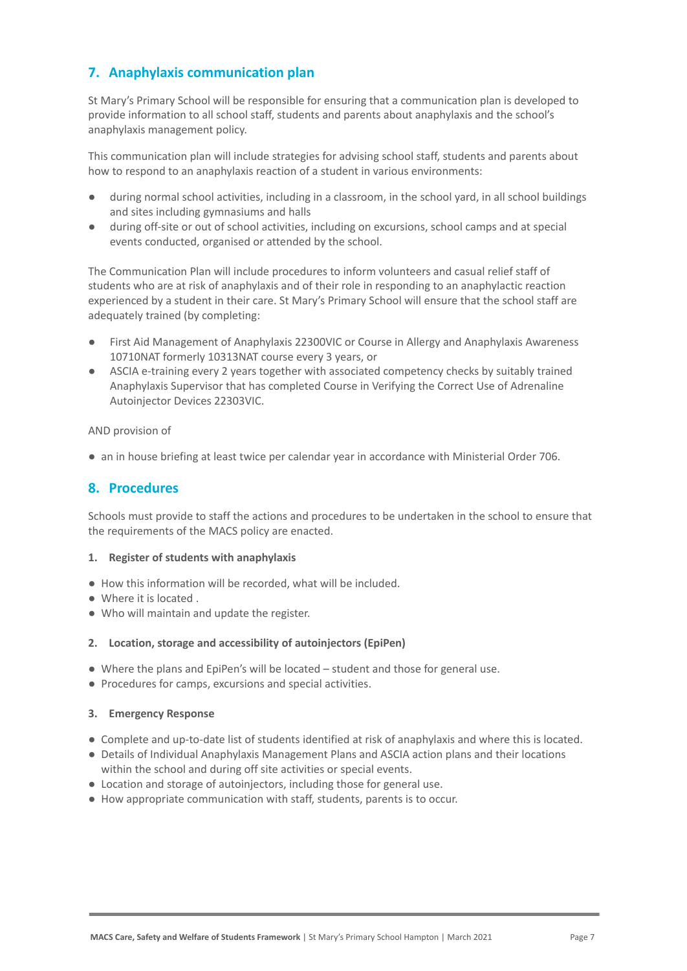## **7. Anaphylaxis communication plan**

St Mary's Primary School will be responsible for ensuring that a communication plan is developed to provide information to all school staff, students and parents about anaphylaxis and the school's anaphylaxis management policy.

This communication plan will include strategies for advising school staff, students and parents about how to respond to an anaphylaxis reaction of a student in various environments:

- during normal school activities, including in a classroom, in the school yard, in all school buildings and sites including gymnasiums and halls
- during off-site or out of school activities, including on excursions, school camps and at special events conducted, organised or attended by the school.

The Communication Plan will include procedures to inform volunteers and casual relief staff of students who are at risk of anaphylaxis and of their role in responding to an anaphylactic reaction experienced by a student in their care. St Mary's Primary School will ensure that the school staff are adequately trained (by completing:

- First Aid Management of Anaphylaxis 22300VIC or Course in Allergy and Anaphylaxis Awareness 10710NAT formerly 10313NAT course every 3 years, or
- ASCIA e-training every 2 years together with associated competency checks by suitably trained Anaphylaxis Supervisor that has completed Course in Verifying the Correct Use of Adrenaline Autoinjector Devices 22303VIC.

AND provision of

● an in house briefing at least twice per calendar year in accordance with Ministerial Order 706.

## **8. Procedures**

Schools must provide to staff the actions and procedures to be undertaken in the school to ensure that the requirements of the MACS policy are enacted.

#### **1. Register of students with anaphylaxis**

- How this information will be recorded, what will be included.
- Where it is located .
- Who will maintain and update the register.

#### **2. Location, storage and accessibility of autoinjectors (EpiPen)**

- Where the plans and EpiPen's will be located student and those for general use.
- Procedures for camps, excursions and special activities.

#### **3. Emergency Response**

- Complete and up-to-date list of students identified at risk of anaphylaxis and where this is located.
- Details of Individual Anaphylaxis Management Plans and ASCIA action plans and their locations within the school and during off site activities or special events.
- Location and storage of autoinjectors, including those for general use.
- How appropriate communication with staff, students, parents is to occur.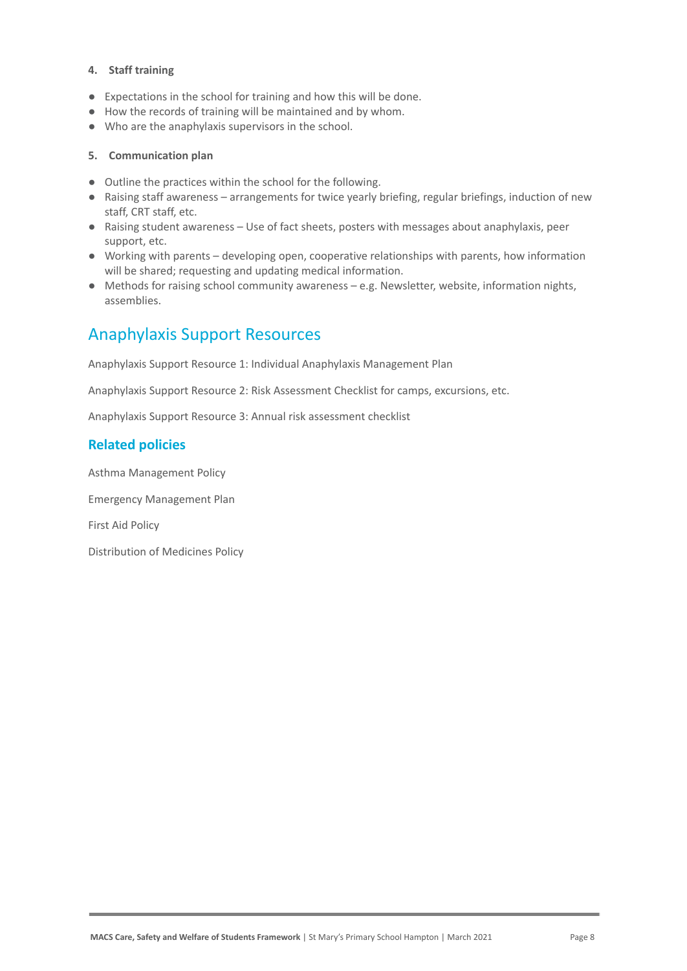#### **4. Staff training**

- Expectations in the school for training and how this will be done.
- How the records of training will be maintained and by whom.
- Who are the anaphylaxis supervisors in the school.

#### **5. Communication plan**

- Outline the practices within the school for the following.
- Raising staff awareness arrangements for twice yearly briefing, regular briefings, induction of new staff, CRT staff, etc.
- Raising student awareness Use of fact sheets, posters with messages about anaphylaxis, peer support, etc.
- Working with parents developing open, cooperative relationships with parents, how information will be shared; requesting and updating medical information.
- Methods for raising school community awareness e.g. Newsletter, website, information nights, assemblies.

# Anaphylaxis Support Resources

Anaphylaxis Support Resource 1: Individual Anaphylaxis Management Plan

Anaphylaxis Support Resource 2: Risk Assessment Checklist for camps, excursions, etc.

Anaphylaxis Support Resource 3: Annual risk assessment checklist

#### **Related policies**

Asthma Management Policy

Emergency Management Plan

First Aid Policy

Distribution of Medicines Policy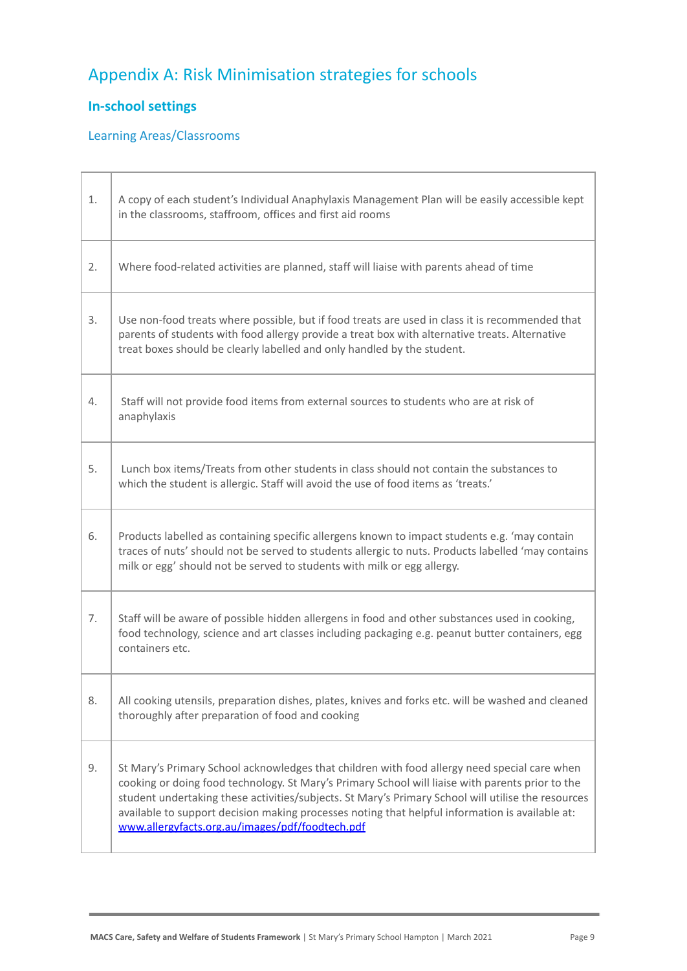# Appendix A: Risk Minimisation strategies for schools

## **In-school settings**

ľ

Т

## Learning Areas/Classrooms

| 1. | A copy of each student's Individual Anaphylaxis Management Plan will be easily accessible kept<br>in the classrooms, staffroom, offices and first aid rooms                                                                                                                                                                                                                                                                                                  |  |
|----|--------------------------------------------------------------------------------------------------------------------------------------------------------------------------------------------------------------------------------------------------------------------------------------------------------------------------------------------------------------------------------------------------------------------------------------------------------------|--|
| 2. | Where food-related activities are planned, staff will liaise with parents ahead of time                                                                                                                                                                                                                                                                                                                                                                      |  |
| 3. | Use non-food treats where possible, but if food treats are used in class it is recommended that<br>parents of students with food allergy provide a treat box with alternative treats. Alternative<br>treat boxes should be clearly labelled and only handled by the student.                                                                                                                                                                                 |  |
| 4. | Staff will not provide food items from external sources to students who are at risk of<br>anaphylaxis                                                                                                                                                                                                                                                                                                                                                        |  |
| 5. | Lunch box items/Treats from other students in class should not contain the substances to<br>which the student is allergic. Staff will avoid the use of food items as 'treats.'                                                                                                                                                                                                                                                                               |  |
| 6. | Products labelled as containing specific allergens known to impact students e.g. 'may contain<br>traces of nuts' should not be served to students allergic to nuts. Products labelled 'may contains<br>milk or egg' should not be served to students with milk or egg allergy.                                                                                                                                                                               |  |
| 7. | Staff will be aware of possible hidden allergens in food and other substances used in cooking,<br>food technology, science and art classes including packaging e.g. peanut butter containers, egg<br>containers etc.                                                                                                                                                                                                                                         |  |
| 8. | All cooking utensils, preparation dishes, plates, knives and forks etc. will be washed and cleaned<br>thoroughly after preparation of food and cooking                                                                                                                                                                                                                                                                                                       |  |
| 9. | St Mary's Primary School acknowledges that children with food allergy need special care when<br>cooking or doing food technology. St Mary's Primary School will liaise with parents prior to the<br>student undertaking these activities/subjects. St Mary's Primary School will utilise the resources<br>available to support decision making processes noting that helpful information is available at:<br>www.allergyfacts.org.au/images/pdf/foodtech.pdf |  |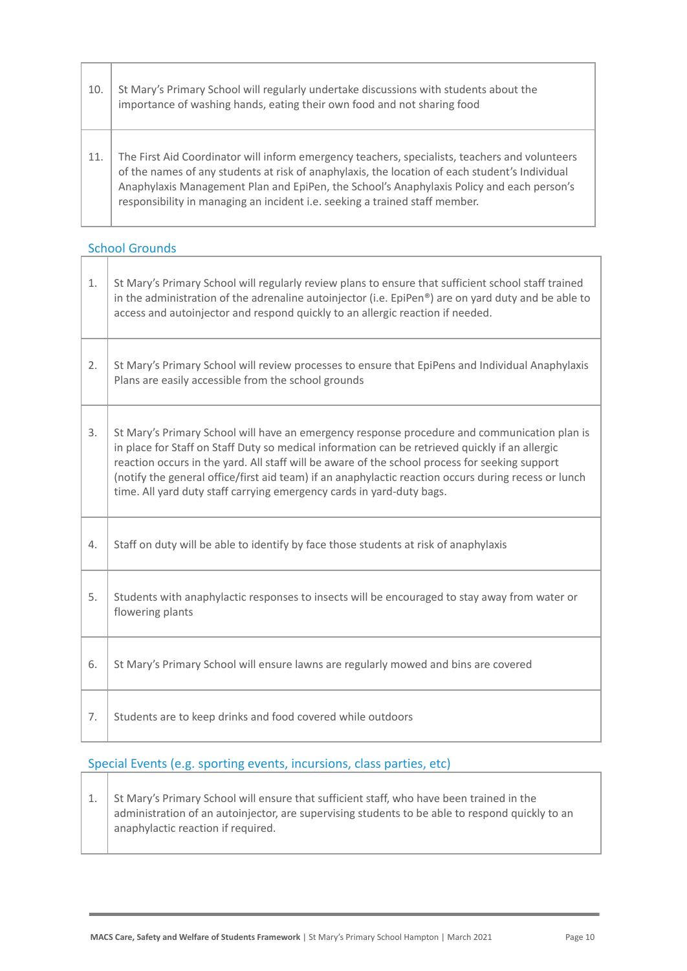| 10.<br>importance of washing hands, eating their own food and not sharing food |     | St Mary's Primary School will regularly undertake discussions with students about the                                                                                                                                                                                                                                                                                        |
|--------------------------------------------------------------------------------|-----|------------------------------------------------------------------------------------------------------------------------------------------------------------------------------------------------------------------------------------------------------------------------------------------------------------------------------------------------------------------------------|
|                                                                                | 11. | The First Aid Coordinator will inform emergency teachers, specialists, teachers and volunteers<br>of the names of any students at risk of anaphylaxis, the location of each student's Individual<br>Anaphylaxis Management Plan and EpiPen, the School's Anaphylaxis Policy and each person's<br>responsibility in managing an incident i.e. seeking a trained staff member. |

# School Grounds

| 1. | St Mary's Primary School will regularly review plans to ensure that sufficient school staff trained<br>in the administration of the adrenaline autoinjector (i.e. EpiPen®) are on yard duty and be able to<br>access and autoinjector and respond quickly to an allergic reaction if needed.                                                                                                                                                                                       |  |
|----|------------------------------------------------------------------------------------------------------------------------------------------------------------------------------------------------------------------------------------------------------------------------------------------------------------------------------------------------------------------------------------------------------------------------------------------------------------------------------------|--|
| 2. | St Mary's Primary School will review processes to ensure that EpiPens and Individual Anaphylaxis<br>Plans are easily accessible from the school grounds                                                                                                                                                                                                                                                                                                                            |  |
| 3. | St Mary's Primary School will have an emergency response procedure and communication plan is<br>in place for Staff on Staff Duty so medical information can be retrieved quickly if an allergic<br>reaction occurs in the yard. All staff will be aware of the school process for seeking support<br>(notify the general office/first aid team) if an anaphylactic reaction occurs during recess or lunch<br>time. All yard duty staff carrying emergency cards in yard-duty bags. |  |
| 4. | Staff on duty will be able to identify by face those students at risk of anaphylaxis                                                                                                                                                                                                                                                                                                                                                                                               |  |
| 5. | Students with anaphylactic responses to insects will be encouraged to stay away from water or<br>flowering plants                                                                                                                                                                                                                                                                                                                                                                  |  |
| 6. | St Mary's Primary School will ensure lawns are regularly mowed and bins are covered                                                                                                                                                                                                                                                                                                                                                                                                |  |
| 7. | Students are to keep drinks and food covered while outdoors                                                                                                                                                                                                                                                                                                                                                                                                                        |  |

# Special Events (e.g. sporting events, incursions, class parties, etc)

1. St Mary's Primary School will ensure that sufficient staff, who have been trained in the administration of an autoinjector, are supervising students to be able to respond quickly to an anaphylactic reaction if required.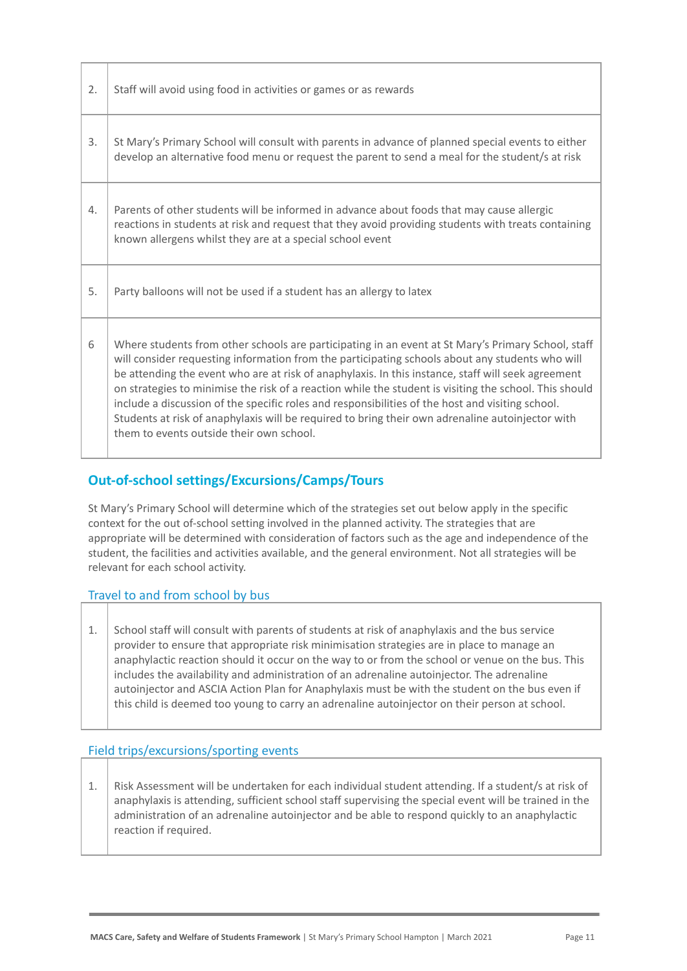| 2. | Staff will avoid using food in activities or games or as rewards                                                                                                                                                                                                                                                                                                                                                                                                                                                                                                                                                                                                          |  |
|----|---------------------------------------------------------------------------------------------------------------------------------------------------------------------------------------------------------------------------------------------------------------------------------------------------------------------------------------------------------------------------------------------------------------------------------------------------------------------------------------------------------------------------------------------------------------------------------------------------------------------------------------------------------------------------|--|
| 3. | St Mary's Primary School will consult with parents in advance of planned special events to either<br>develop an alternative food menu or request the parent to send a meal for the student/s at risk                                                                                                                                                                                                                                                                                                                                                                                                                                                                      |  |
| 4. | Parents of other students will be informed in advance about foods that may cause allergic<br>reactions in students at risk and request that they avoid providing students with treats containing<br>known allergens whilst they are at a special school event                                                                                                                                                                                                                                                                                                                                                                                                             |  |
| 5. | Party balloons will not be used if a student has an allergy to latex                                                                                                                                                                                                                                                                                                                                                                                                                                                                                                                                                                                                      |  |
| 6  | Where students from other schools are participating in an event at St Mary's Primary School, staff<br>will consider requesting information from the participating schools about any students who will<br>be attending the event who are at risk of anaphylaxis. In this instance, staff will seek agreement<br>on strategies to minimise the risk of a reaction while the student is visiting the school. This should<br>include a discussion of the specific roles and responsibilities of the host and visiting school.<br>Students at risk of anaphylaxis will be required to bring their own adrenaline autoinjector with<br>them to events outside their own school. |  |

## **Out-of-school settings/Excursions/Camps/Tours**

St Mary's Primary School will determine which of the strategies set out below apply in the specific context for the out of-school setting involved in the planned activity. The strategies that are appropriate will be determined with consideration of factors such as the age and independence of the student, the facilities and activities available, and the general environment. Not all strategies will be relevant for each school activity.

## Travel to and from school by bus

1. School staff will consult with parents of students at risk of anaphylaxis and the bus service provider to ensure that appropriate risk minimisation strategies are in place to manage an anaphylactic reaction should it occur on the way to or from the school or venue on the bus. This includes the availability and administration of an adrenaline autoinjector. The adrenaline autoinjector and ASCIA Action Plan for Anaphylaxis must be with the student on the bus even if this child is deemed too young to carry an adrenaline autoinjector on their person at school.

## Field trips/excursions/sporting events

1. Risk Assessment will be undertaken for each individual student attending. If a student/s at risk of anaphylaxis is attending, sufficient school staff supervising the special event will be trained in the administration of an adrenaline autoinjector and be able to respond quickly to an anaphylactic reaction if required.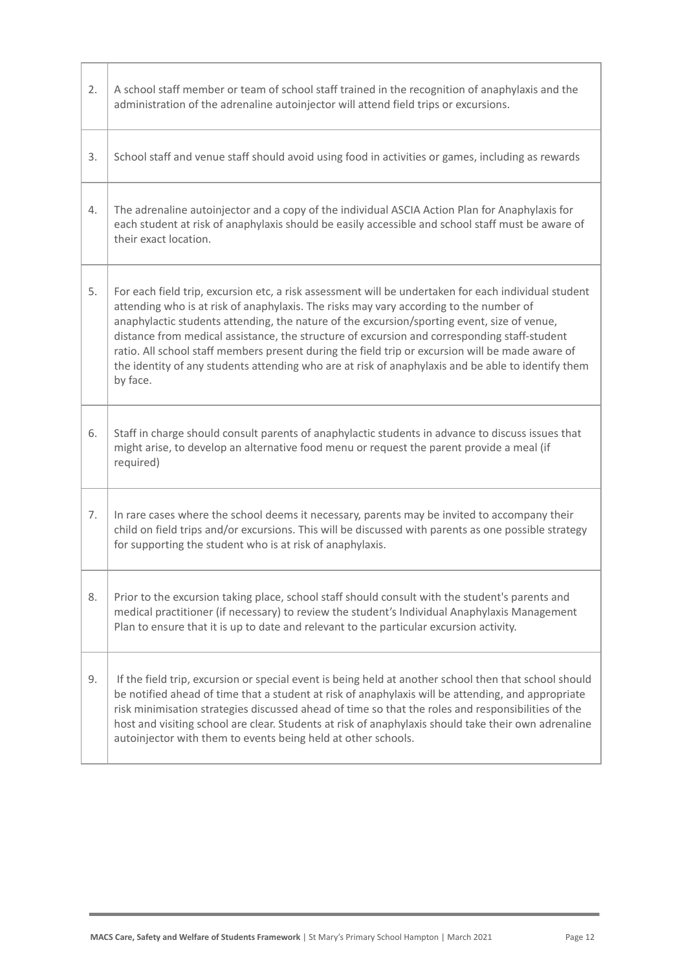| 2. | A school staff member or team of school staff trained in the recognition of anaphylaxis and the<br>administration of the adrenaline autoinjector will attend field trips or excursions.                                                                                                                                                                                                                                                                                                                                                                                                                             |  |
|----|---------------------------------------------------------------------------------------------------------------------------------------------------------------------------------------------------------------------------------------------------------------------------------------------------------------------------------------------------------------------------------------------------------------------------------------------------------------------------------------------------------------------------------------------------------------------------------------------------------------------|--|
| 3. | School staff and venue staff should avoid using food in activities or games, including as rewards                                                                                                                                                                                                                                                                                                                                                                                                                                                                                                                   |  |
| 4. | The adrenaline autoinjector and a copy of the individual ASCIA Action Plan for Anaphylaxis for<br>each student at risk of anaphylaxis should be easily accessible and school staff must be aware of<br>their exact location.                                                                                                                                                                                                                                                                                                                                                                                        |  |
| 5. | For each field trip, excursion etc, a risk assessment will be undertaken for each individual student<br>attending who is at risk of anaphylaxis. The risks may vary according to the number of<br>anaphylactic students attending, the nature of the excursion/sporting event, size of venue,<br>distance from medical assistance, the structure of excursion and corresponding staff-student<br>ratio. All school staff members present during the field trip or excursion will be made aware of<br>the identity of any students attending who are at risk of anaphylaxis and be able to identify them<br>by face. |  |
| 6. | Staff in charge should consult parents of anaphylactic students in advance to discuss issues that<br>might arise, to develop an alternative food menu or request the parent provide a meal (if<br>required)                                                                                                                                                                                                                                                                                                                                                                                                         |  |
| 7. | In rare cases where the school deems it necessary, parents may be invited to accompany their<br>child on field trips and/or excursions. This will be discussed with parents as one possible strategy<br>for supporting the student who is at risk of anaphylaxis.                                                                                                                                                                                                                                                                                                                                                   |  |
| 8. | Prior to the excursion taking place, school staff should consult with the student's parents and<br>medical practitioner (if necessary) to review the student's Individual Anaphylaxis Management<br>Plan to ensure that it is up to date and relevant to the particular excursion activity.                                                                                                                                                                                                                                                                                                                         |  |
| 9. | If the field trip, excursion or special event is being held at another school then that school should<br>be notified ahead of time that a student at risk of anaphylaxis will be attending, and appropriate<br>risk minimisation strategies discussed ahead of time so that the roles and responsibilities of the<br>host and visiting school are clear. Students at risk of anaphylaxis should take their own adrenaline<br>autoinjector with them to events being held at other schools.                                                                                                                          |  |

T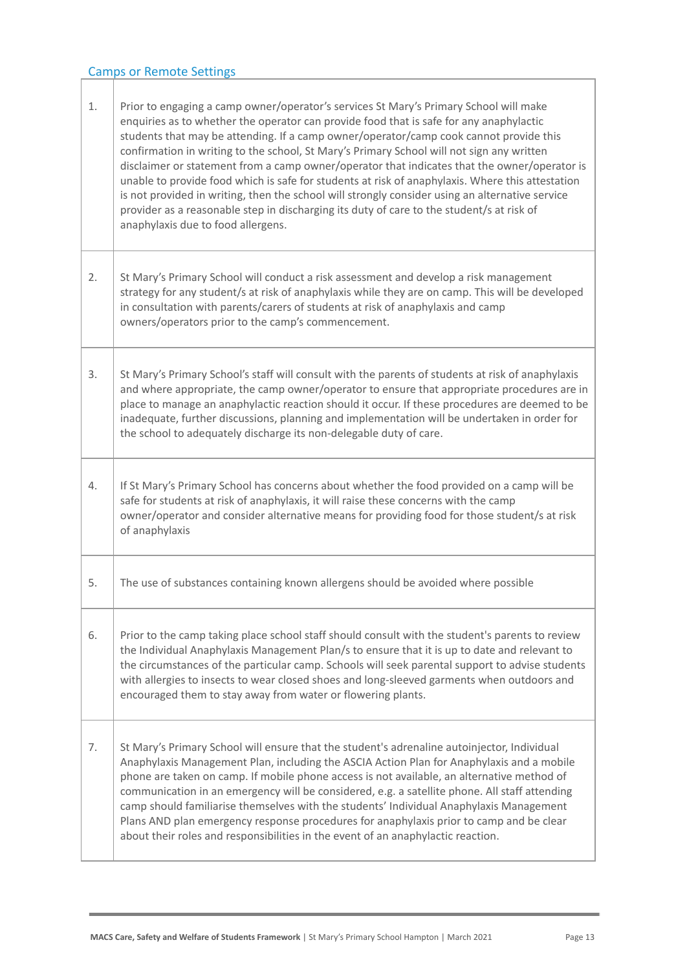## Camps or Remote Settings

| 1. | Prior to engaging a camp owner/operator's services St Mary's Primary School will make<br>enquiries as to whether the operator can provide food that is safe for any anaphylactic<br>students that may be attending. If a camp owner/operator/camp cook cannot provide this<br>confirmation in writing to the school, St Mary's Primary School will not sign any written<br>disclaimer or statement from a camp owner/operator that indicates that the owner/operator is<br>unable to provide food which is safe for students at risk of anaphylaxis. Where this attestation<br>is not provided in writing, then the school will strongly consider using an alternative service<br>provider as a reasonable step in discharging its duty of care to the student/s at risk of<br>anaphylaxis due to food allergens. |
|----|-------------------------------------------------------------------------------------------------------------------------------------------------------------------------------------------------------------------------------------------------------------------------------------------------------------------------------------------------------------------------------------------------------------------------------------------------------------------------------------------------------------------------------------------------------------------------------------------------------------------------------------------------------------------------------------------------------------------------------------------------------------------------------------------------------------------|
| 2. | St Mary's Primary School will conduct a risk assessment and develop a risk management<br>strategy for any student/s at risk of anaphylaxis while they are on camp. This will be developed<br>in consultation with parents/carers of students at risk of anaphylaxis and camp<br>owners/operators prior to the camp's commencement.                                                                                                                                                                                                                                                                                                                                                                                                                                                                                |
| 3. | St Mary's Primary School's staff will consult with the parents of students at risk of anaphylaxis<br>and where appropriate, the camp owner/operator to ensure that appropriate procedures are in<br>place to manage an anaphylactic reaction should it occur. If these procedures are deemed to be<br>inadequate, further discussions, planning and implementation will be undertaken in order for<br>the school to adequately discharge its non-delegable duty of care.                                                                                                                                                                                                                                                                                                                                          |
| 4. | If St Mary's Primary School has concerns about whether the food provided on a camp will be<br>safe for students at risk of anaphylaxis, it will raise these concerns with the camp<br>owner/operator and consider alternative means for providing food for those student/s at risk<br>of anaphylaxis                                                                                                                                                                                                                                                                                                                                                                                                                                                                                                              |
| 5. | The use of substances containing known allergens should be avoided where possible                                                                                                                                                                                                                                                                                                                                                                                                                                                                                                                                                                                                                                                                                                                                 |
| 6. | Prior to the camp taking place school staff should consult with the student's parents to review<br>the Individual Anaphylaxis Management Plan/s to ensure that it is up to date and relevant to<br>the circumstances of the particular camp. Schools will seek parental support to advise students<br>with allergies to insects to wear closed shoes and long-sleeved garments when outdoors and<br>encouraged them to stay away from water or flowering plants.                                                                                                                                                                                                                                                                                                                                                  |
| 7. | St Mary's Primary School will ensure that the student's adrenaline autoinjector, Individual<br>Anaphylaxis Management Plan, including the ASCIA Action Plan for Anaphylaxis and a mobile<br>phone are taken on camp. If mobile phone access is not available, an alternative method of<br>communication in an emergency will be considered, e.g. a satellite phone. All staff attending<br>camp should familiarise themselves with the students' Individual Anaphylaxis Management<br>Plans AND plan emergency response procedures for anaphylaxis prior to camp and be clear<br>about their roles and responsibilities in the event of an anaphylactic reaction.                                                                                                                                                 |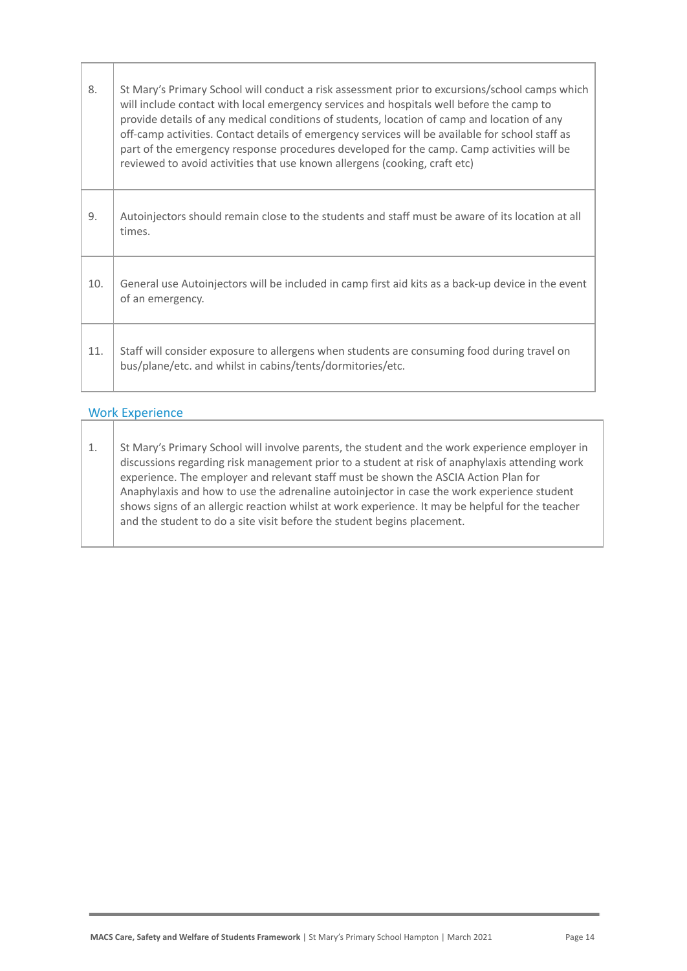| 8.  | St Mary's Primary School will conduct a risk assessment prior to excursions/school camps which<br>will include contact with local emergency services and hospitals well before the camp to<br>provide details of any medical conditions of students, location of camp and location of any<br>off-camp activities. Contact details of emergency services will be available for school staff as<br>part of the emergency response procedures developed for the camp. Camp activities will be<br>reviewed to avoid activities that use known allergens (cooking, craft etc) |
|-----|--------------------------------------------------------------------------------------------------------------------------------------------------------------------------------------------------------------------------------------------------------------------------------------------------------------------------------------------------------------------------------------------------------------------------------------------------------------------------------------------------------------------------------------------------------------------------|
| 9.  | Autoinjectors should remain close to the students and staff must be aware of its location at all<br>times.                                                                                                                                                                                                                                                                                                                                                                                                                                                               |
| 10. | General use Autoinjectors will be included in camp first aid kits as a back-up device in the event<br>of an emergency.                                                                                                                                                                                                                                                                                                                                                                                                                                                   |
| 11. | Staff will consider exposure to allergens when students are consuming food during travel on<br>bus/plane/etc. and whilst in cabins/tents/dormitories/etc.                                                                                                                                                                                                                                                                                                                                                                                                                |

#### Work Experience

1. St Mary's Primary School will involve parents, the student and the work experience employer in discussions regarding risk management prior to a student at risk of anaphylaxis attending work experience. The employer and relevant staff must be shown the ASCIA Action Plan for Anaphylaxis and how to use the adrenaline autoinjector in case the work experience student shows signs of an allergic reaction whilst at work experience. It may be helpful for the teacher and the student to do a site visit before the student begins placement.